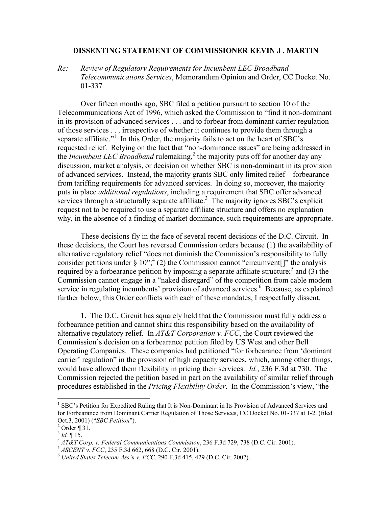## **DISSENTING STATEMENT OF COMMISSIONER KEVIN J . MARTIN**

*Re: Review of Regulatory Requirements for Incumbent LEC Broadband Telecommunications Services*, Memorandum Opinion and Order, CC Docket No. 01-337

 Over fifteen months ago, SBC filed a petition pursuant to section 10 of the Telecommunications Act of 1996, which asked the Commission to "find it non-dominant in its provision of advanced services . . . and to forbear from dominant carrier regulation of those services . . . irrespective of whether it continues to provide them through a separate affiliate."<sup>1</sup> In this Order, the majority fails to act on the heart of SBC's requested relief. Relying on the fact that "non-dominance issues" are being addressed in the *Incumbent LEC Broadband* rulemaking,<sup>2</sup> the majority puts off for another day any discussion, market analysis, or decision on whether SBC is non-dominant in its provision of advanced services. Instead, the majority grants SBC only limited relief – forbearance from tariffing requirements for advanced services. In doing so, moreover, the majority puts in place *additional regulations*, including a requirement that SBC offer advanced services through a structurally separate affiliate.<sup>3</sup> The majority ignores SBC's explicit request not to be required to use a separate affiliate structure and offers no explanation why, in the absence of a finding of market dominance, such requirements are appropriate.

 These decisions fly in the face of several recent decisions of the D.C. Circuit. In these decisions, the Court has reversed Commission orders because (1) the availability of alternative regulatory relief "does not diminish the Commission's responsibility to fully consider petitions under  $\S 10$ ";<sup>4</sup> (2) the Commission cannot "circumvent<sup>[]"</sup> the analysis required by a forbearance petition by imposing a separate affiliate structure;<sup>5</sup> and (3) the Commission cannot engage in a "naked disregard" of the competition from cable modem service in regulating incumbents' provision of advanced services.<sup>6</sup> Because, as explained further below, this Order conflicts with each of these mandates, I respectfully dissent.

**1.** The D.C. Circuit has squarely held that the Commission must fully address a forbearance petition and cannot shirk this responsibility based on the availability of alternative regulatory relief. In *AT&T Corporation v. FCC*, the Court reviewed the Commission's decision on a forbearance petition filed by US West and other Bell Operating Companies. These companies had petitioned "for forbearance from 'dominant carrier' regulation" in the provision of high capacity services, which, among other things, would have allowed them flexibility in pricing their services. *Id.*, 236 F.3d at 730. The Commission rejected the petition based in part on the availability of similar relief through procedures established in the *Pricing Flexibility Order*. In the Commission's view, "the

 $\overline{a}$ 

<sup>&</sup>lt;sup>1</sup> SBC's Petition for Expedited Ruling that It is Non-Dominant in Its Provision of Advanced Services and for Forbearance from Dominant Carrier Regulation of Those Services, CC Docket No. 01-337 at 1-2. (filed Oct.3, 2001) ("*SBC Petition*"). 2

 $^{2}$  Order ¶ 31.<br> $^{3}$  *Id.* ¶ 15.

<sup>&</sup>lt;sup>4</sup>  $AT\&T$  Corp. v. Federal Communications Commission, 236 F.3d 729, 738 (D.C. Cir. 2001).<br><sup>5</sup>  $ASCENT$  v. FCC, 235 F.3d 662, 668 (D.C. Cir. 2001).<br><sup>6</sup> United States Telecom Ass'n v. FCC, 290 F.3d 415, 429 (D.C. Cir. 2002).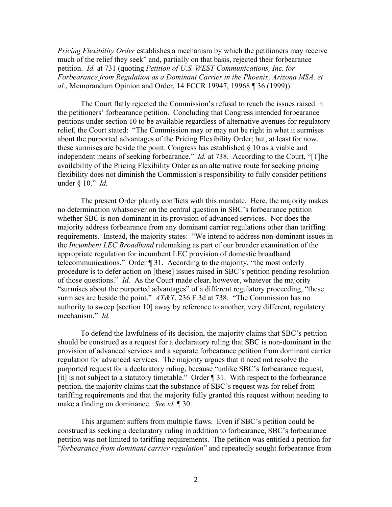*Pricing Flexibility Order* establishes a mechanism by which the petitioners may receive much of the relief they seek" and, partially on that basis, rejected their forbearance petition. *Id.* at 731 (quoting *Petition of U.S. WEST Communications, Inc. for Forbearance from Regulation as a Dominant Carrier in the Phoenix, Arizona MSA, et al.*, Memorandum Opinion and Order, 14 FCCR 19947, 19968 ¶ 36 (1999)).

 The Court flatly rejected the Commission's refusal to reach the issues raised in the petitioners' forbearance petition. Concluding that Congress intended forbearance petitions under section 10 to be available regardless of alternative avenues for regulatory relief, the Court stated: "The Commission may or may not be right in what it surmises about the purported advantages of the Pricing Flexibility Order; but, at least for now, these surmises are beside the point. Congress has established § 10 as a viable and independent means of seeking forbearance." *Id.* at 738. According to the Court, "[T]he availability of the Pricing Flexibility Order as an alternative route for seeking pricing flexibility does not diminish the Commission's responsibility to fully consider petitions under § 10." *Id.*

 The present Order plainly conflicts with this mandate. Here, the majority makes no determination whatsoever on the central question in SBC's forbearance petition – whether SBC is non-dominant in its provision of advanced services. Nor does the majority address forbearance from any dominant carrier regulations other than tariffing requirements. Instead, the majority states: "We intend to address non-dominant issues in the *Incumbent LEC Broadband* rulemaking as part of our broader examination of the appropriate regulation for incumbent LEC provision of domestic broadband telecommunications." Order ¶ 31. According to the majority, "the most orderly procedure is to defer action on [these] issues raised in SBC's petition pending resolution of those questions." *Id*. As the Court made clear, however, whatever the majority "surmises about the purported advantages" of a different regulatory proceeding, "these surmises are beside the point." *AT&T*, 236 F.3d at 738. "The Commission has no authority to sweep [section 10] away by reference to another, very different, regulatory mechanism." *Id.*

 To defend the lawfulness of its decision, the majority claims that SBC's petition should be construed as a request for a declaratory ruling that SBC is non-dominant in the provision of advanced services and a separate forbearance petition from dominant carrier regulation for advanced services. The majority argues that it need not resolve the purported request for a declaratory ruling, because "unlike SBC's forbearance request, [it] is not subject to a statutory timetable." Order ¶ 31. With respect to the forbearance petition, the majority claims that the substance of SBC's request was for relief from tariffing requirements and that the majority fully granted this request without needing to make a finding on dominance. *See id.* ¶ 30.

 This argument suffers from multiple flaws. Even if SBC's petition could be construed as seeking a declaratory ruling in addition to forbearance, SBC's forbearance petition was not limited to tariffing requirements. The petition was entitled a petition for "*forbearance from dominant carrier regulation*" and repeatedly sought forbearance from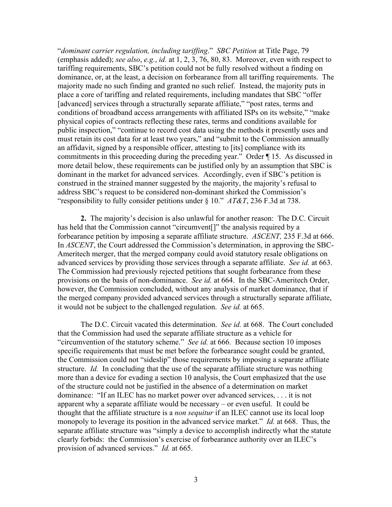"*dominant carrier regulation, including tariffing*." *SBC Petition* at Title Page, 79 (emphasis added); *see also*, *e.g.*, *id.* at 1, 2, 3, 76, 80, 83. Moreover, even with respect to tariffing requirements, SBC's petition could not be fully resolved without a finding on dominance, or, at the least, a decision on forbearance from all tariffing requirements. The majority made no such finding and granted no such relief. Instead, the majority puts in place a core of tariffing and related requirements, including mandates that SBC "offer [advanced] services through a structurally separate affiliate," "post rates, terms and conditions of broadband access arrangements with affiliated ISPs on its website," "make physical copies of contracts reflecting these rates, terms and conditions available for public inspection," "continue to record cost data using the methods it presently uses and must retain its cost data for at least two years," and "submit to the Commission annually an affidavit, signed by a responsible officer, attesting to [its] compliance with its commitments in this proceeding during the preceding year." Order ¶ 15. As discussed in more detail below, these requirements can be justified only by an assumption that SBC is dominant in the market for advanced services. Accordingly, even if SBC's petition is construed in the strained manner suggested by the majority, the majority's refusal to address SBC's request to be considered non-dominant shirked the Commission's "responsibility to fully consider petitions under § 10." *AT&T*, 236 F.3d at 738.

**2.** The majority's decision is also unlawful for another reason: The D.C. Circuit has held that the Commission cannot "circumvent<sup>[]"</sup> the analysis required by a forbearance petition by imposing a separate affiliate structure. *ASCENT,* 235 F.3d at 666. In *ASCENT*, the Court addressed the Commission's determination, in approving the SBC-Ameritech merger, that the merged company could avoid statutory resale obligations on advanced services by providing those services through a separate affiliate. *See id.* at 663. The Commission had previously rejected petitions that sought forbearance from these provisions on the basis of non-dominance. *See id.* at 664. In the SBC-Ameritech Order, however, the Commission concluded, without any analysis of market dominance, that if the merged company provided advanced services through a structurally separate affiliate, it would not be subject to the challenged regulation. *See id.* at 665.

 The D.C. Circuit vacated this determination. *See id.* at 668. The Court concluded that the Commission had used the separate affiliate structure as a vehicle for "circumvention of the statutory scheme." *See id.* at 666. Because section 10 imposes specific requirements that must be met before the forbearance sought could be granted, the Commission could not "sideslip" those requirements by imposing a separate affiliate structure. *Id.* In concluding that the use of the separate affiliate structure was nothing more than a device for evading a section 10 analysis, the Court emphasized that the use of the structure could not be justified in the absence of a determination on market dominance: "If an ILEC has no market power over advanced services, . . . it is not apparent why a separate affiliate would be necessary – or even useful. It could be thought that the affiliate structure is a *non sequitur* if an ILEC cannot use its local loop monopoly to leverage its position in the advanced service market." *Id.* at 668. Thus, the separate affiliate structure was "simply a device to accomplish indirectly what the statute clearly forbids: the Commission's exercise of forbearance authority over an ILEC's provision of advanced services." *Id.* at 665.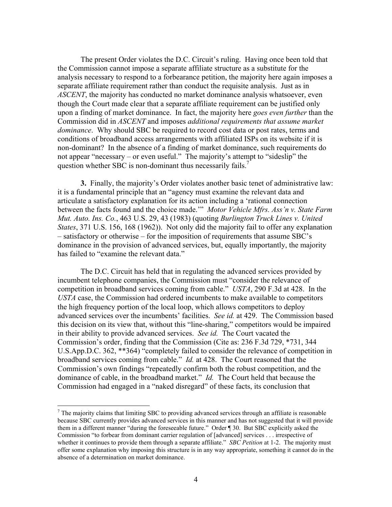The present Order violates the D.C. Circuit's ruling. Having once been told that the Commission cannot impose a separate affiliate structure as a substitute for the analysis necessary to respond to a forbearance petition, the majority here again imposes a separate affiliate requirement rather than conduct the requisite analysis. Just as in *ASCENT*, the majority has conducted no market dominance analysis whatsoever, even though the Court made clear that a separate affiliate requirement can be justified only upon a finding of market dominance. In fact, the majority here *goes even further* than the Commission did in *ASCENT* and imposes *additional requirements that assume market dominance*. Why should SBC be required to record cost data or post rates, terms and conditions of broadband access arrangements with affiliated ISPs on its website if it is non-dominant? In the absence of a finding of market dominance, such requirements do not appear "necessary – or even useful." The majority's attempt to "sideslip" the question whether SBC is non-dominant thus necessarily fails.<sup>7</sup>

**3.** Finally, the majority's Order violates another basic tenet of administrative law: it is a fundamental principle that an "agency must examine the relevant data and articulate a satisfactory explanation for its action including a 'rational connection between the facts found and the choice made.'" *Motor Vehicle Mfrs. Ass'n v. State Farm Mut. Auto. Ins. Co.*, 463 U.S. 29, 43 (1983) (quoting *Burlington Truck Lines v. United States*, 371 U.S. 156, 168 (1962)). Not only did the majority fail to offer any explanation – satisfactory or otherwise – for the imposition of requirements that assume SBC's dominance in the provision of advanced services, but, equally importantly, the majority has failed to "examine the relevant data."

 The D.C. Circuit has held that in regulating the advanced services provided by incumbent telephone companies, the Commission must "consider the relevance of competition in broadband services coming from cable." *USTA*, 290 F.3d at 428. In the *USTA* case, the Commission had ordered incumbents to make available to competitors the high frequency portion of the local loop, which allows competitors to deploy advanced services over the incumbents' facilities. *See id.* at 429. The Commission based this decision on its view that, without this "line-sharing," competitors would be impaired in their ability to provide advanced services. *See id.* The Court vacated the Commission's order, finding that the Commission (Cite as: 236 F.3d 729, \*731, 344 U.S.App.D.C. 362, \*\*364) "completely failed to consider the relevance of competition in broadband services coming from cable." *Id.* at 428. The Court reasoned that the Commission's own findings "repeatedly confirm both the robust competition, and the dominance of cable, in the broadband market." *Id.* The Court held that because the Commission had engaged in a "naked disregard" of these facts, its conclusion that

 $\overline{a}$ 

 $<sup>7</sup>$  The majority claims that limiting SBC to providing advanced services through an affiliate is reasonable</sup> because SBC currently provides advanced services in this manner and has not suggested that it will provide them in a different manner "during the foreseeable future." Order ¶ 30. But SBC explicitly asked the Commission "to forbear from dominant carrier regulation of [advanced] services . . . irrespective of whether it continues to provide them through a separate affiliate." *SBC Petition* at 1-2. The majority must offer some explanation why imposing this structure is in any way appropriate, something it cannot do in the absence of a determination on market dominance.